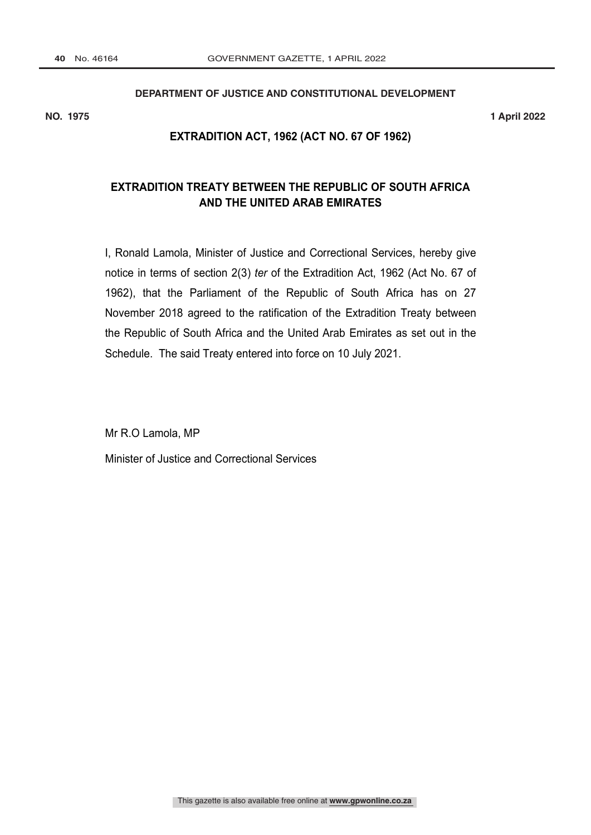# **DEPARTMENT OF JUSTICE AND CONSTITUTIONAL DEVELOPMENT No.: R………… …………………**

**NO. 1975 1 April 2022**

#### **EXTRADITION ACT, 1962 (ACT NO. 67 OF 1962)**

### **EXTRADITION TREATY BETWEEN THE REPUBLIC OF SOUTH AFRICA AND THE UNITED ARAB EMIRATES**

I, Ronald Lamola, Minister of Justice and Correctional Services, hereby give notice in terms of section 2(3) *ter* of the Extradition Act, 1962 (Act No. 67 of 1962), that the Parliament of the Republic of South Africa has on 27 November 2018 agreed to the ratification of the Extradition Treaty between the Republic of South Africa and the United Arab Emirates as set out in the Schedule. The said Treaty entered into force on 10 July 2021.

Mr R.O Lamola, MP

Minister of Justice and Correctional Services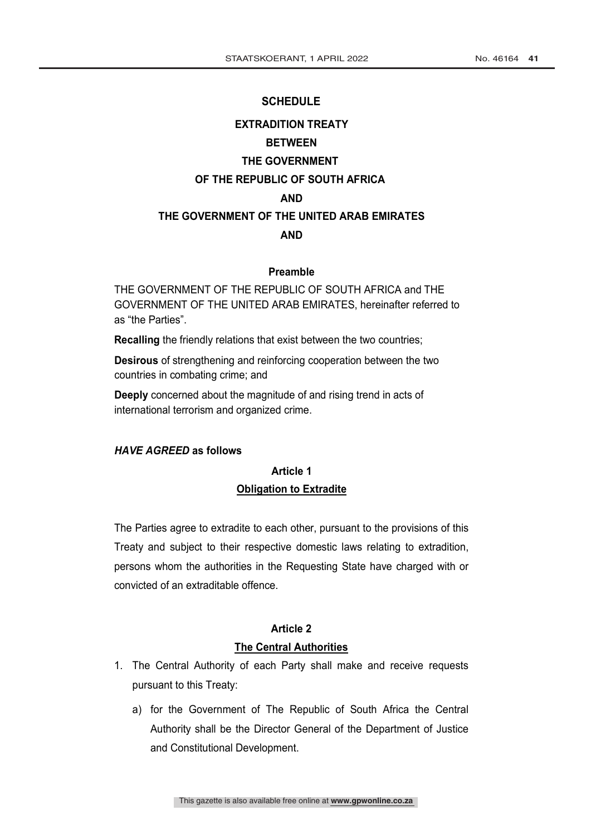#### **SCHEDULE**

# **EXTRADITION TREATY BETWEEN THE GOVERNMENT OF THE REPUBLIC OF SOUTH AFRICA AND THE GOVERNMENT OF THE UNITED ARAB EMIRATES AND**

#### **Preamble**

THE GOVERNMENT OF THE REPUBLIC OF SOUTH AFRICA and THE GOVERNMENT OF THE UNITED ARAB EMIRATES, hereinafter referred to as "the Parties".

**Recalling** the friendly relations that exist between the two countries;

**Desirous** of strengthening and reinforcing cooperation between the two countries in combating crime; and

**Deeply** concerned about the magnitude of and rising trend in acts of international terrorism and organized crime.

#### *HAVE AGREED* **as follows**

### **Article 1 Obligation to Extradite**

The Parties agree to extradite to each other, pursuant to the provisions of this Treaty and subject to their respective domestic laws relating to extradition, persons whom the authorities in the Requesting State have charged with or convicted of an extraditable offence.

#### **Article 2**

#### **The Central Authorities**

- 1. The Central Authority of each Party shall make and receive requests pursuant to this Treaty:
	- a) for the Government of The Republic of South Africa the Central Authority shall be the Director General of the Department of Justice and Constitutional Development.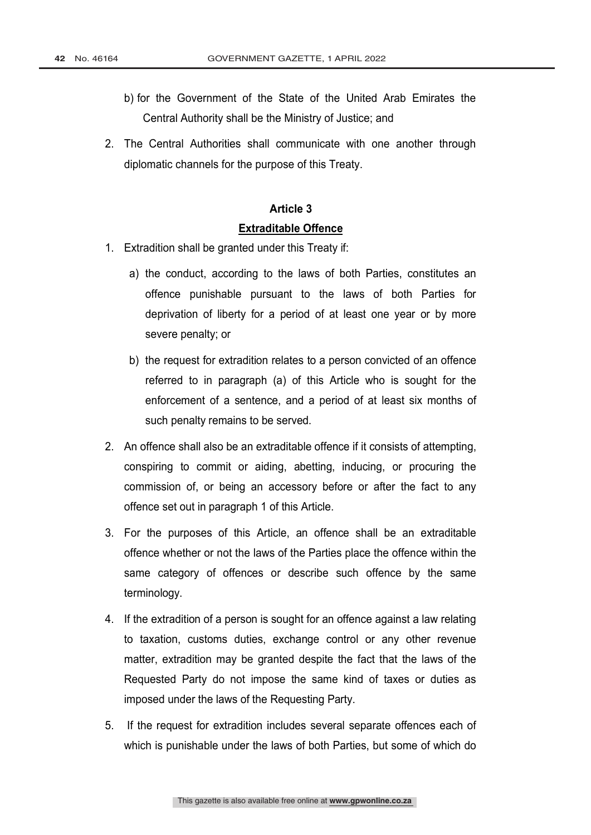- b) for the Government of the State of the United Arab Emirates the Central Authority shall be the Ministry of Justice; and
- 2. The Central Authorities shall communicate with one another through diplomatic channels for the purpose of this Treaty.

#### **Extraditable Offence**

- 1. Extradition shall be granted under this Treaty if:
	- a) the conduct, according to the laws of both Parties, constitutes an offence punishable pursuant to the laws of both Parties for deprivation of liberty for a period of at least one year or by more severe penalty; or
	- b) the request for extradition relates to a person convicted of an offence referred to in paragraph (a) of this Article who is sought for the enforcement of a sentence, and a period of at least six months of such penalty remains to be served.
- 2. An offence shall also be an extraditable offence if it consists of attempting, conspiring to commit or aiding, abetting, inducing, or procuring the commission of, or being an accessory before or after the fact to any offence set out in paragraph 1 of this Article.
- 3. For the purposes of this Article, an offence shall be an extraditable offence whether or not the laws of the Parties place the offence within the same category of offences or describe such offence by the same terminology.
- 4. If the extradition of a person is sought for an offence against a law relating to taxation, customs duties, exchange control or any other revenue matter, extradition may be granted despite the fact that the laws of the Requested Party do not impose the same kind of taxes or duties as imposed under the laws of the Requesting Party.
- 5. If the request for extradition includes several separate offences each of which is punishable under the laws of both Parties, but some of which do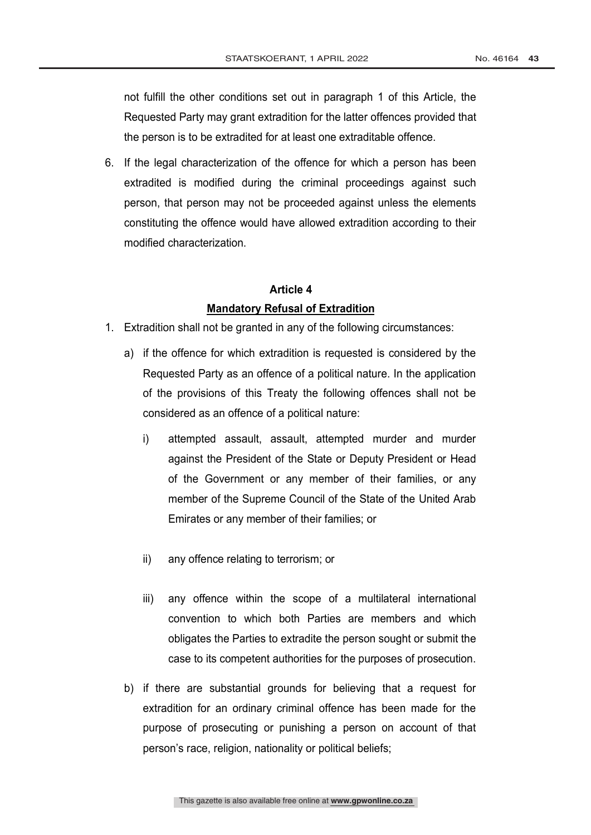not fulfill the other conditions set out in paragraph 1 of this Article, the Requested Party may grant extradition for the latter offences provided that the person is to be extradited for at least one extraditable offence.

6. If the legal characterization of the offence for which a person has been extradited is modified during the criminal proceedings against such person, that person may not be proceeded against unless the elements constituting the offence would have allowed extradition according to their modified characterization.

# **Article 4 Mandatory Refusal of Extradition**

- 1. Extradition shall not be granted in any of the following circumstances:
	- a) if the offence for which extradition is requested is considered by the Requested Party as an offence of a political nature. In the application of the provisions of this Treaty the following offences shall not be considered as an offence of a political nature:
		- i) attempted assault, assault, attempted murder and murder against the President of the State or Deputy President or Head of the Government or any member of their families, or any member of the Supreme Council of the State of the United Arab Emirates or any member of their families; or
		- ii) any offence relating to terrorism; or
		- iii) any offence within the scope of a multilateral international convention to which both Parties are members and which obligates the Parties to extradite the person sought or submit the case to its competent authorities for the purposes of prosecution.
	- b) if there are substantial grounds for believing that a request for extradition for an ordinary criminal offence has been made for the purpose of prosecuting or punishing a person on account of that person's race, religion, nationality or political beliefs;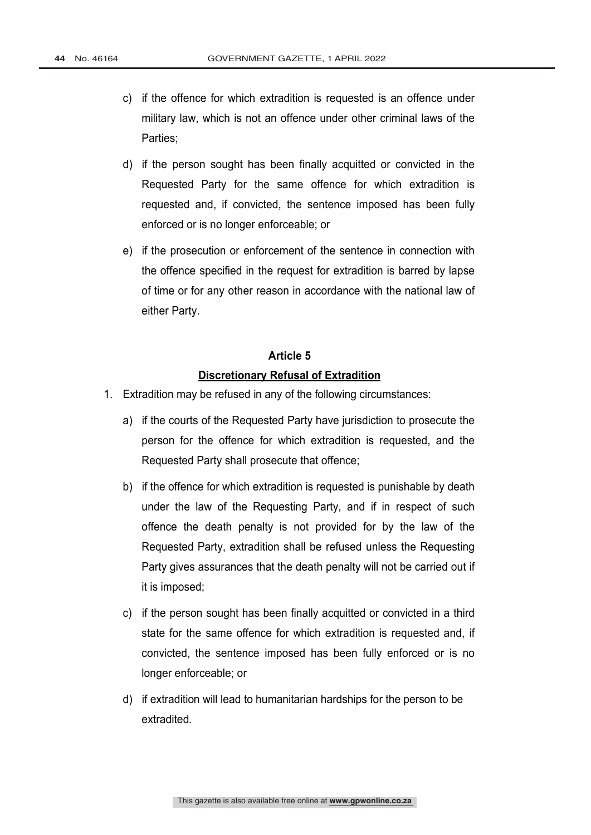- c) if the offence for which extradition is requested is an offence under military law, which is not an offence under other criminal laws of the Parties;
- d) if the person sought has been finally acquitted or convicted in the Requested Party for the same offence for which extradition is requested and, if convicted, the sentence imposed has been fully enforced or is no longer enforceable; or
- e) if the prosecution or enforcement of the sentence in connection with the offence specified in the request for extradition is barred by lapse of time or for any other reason in accordance with the national law of either Party.

# **Article 5 Discretionary Refusal of Extradition**

- 1. Extradition may be refused in any of the following circumstances:
	- a) if the courts of the Requested Party have jurisdiction to prosecute the person for the offence for which extradition is requested, and the Requested Party shall prosecute that offence;
	- b) if the offence for which extradition is requested is punishable by death under the law of the Requesting Party, and if in respect of such offence the death penalty is not provided for by the law of the Requested Party, extradition shall be refused unless the Requesting Party gives assurances that the death penalty will not be carried out if it is imposed;
	- c) if the person sought has been finally acquitted or convicted in a third state for the same offence for which extradition is requested and, if convicted, the sentence imposed has been fully enforced or is no longer enforceable; or
	- d) if extradition will lead to humanitarian hardships for the person to be extradited.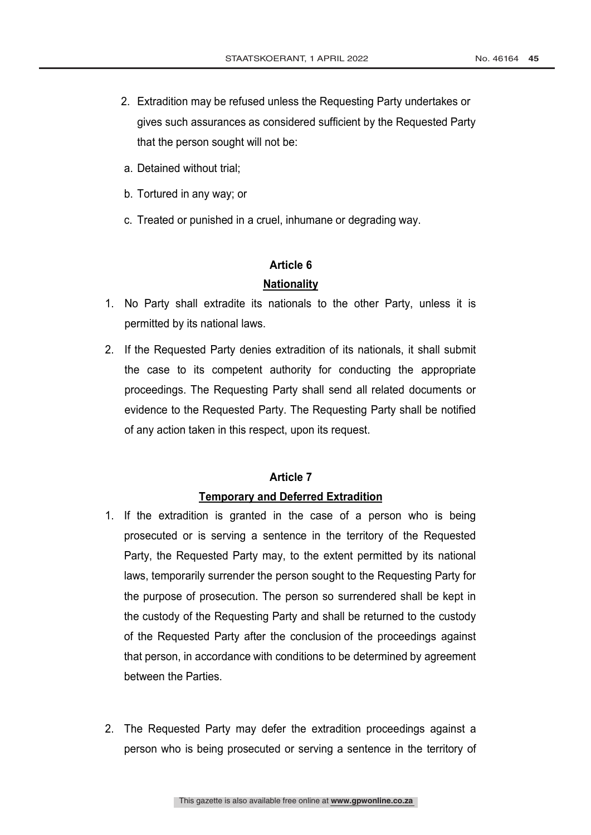- 2. Extradition may be refused unless the Requesting Party undertakes or gives such assurances as considered sufficient by the Requested Party that the person sought will not be:
- a. Detained without trial;
- b. Tortured in any way; or
- c. Treated or punished in a cruel, inhumane or degrading way.

#### **Nationality**

- 1. No Party shall extradite its nationals to the other Party, unless it is permitted by its national laws.
- 2. If the Requested Party denies extradition of its nationals, it shall submit the case to its competent authority for conducting the appropriate proceedings. The Requesting Party shall send all related documents or evidence to the Requested Party. The Requesting Party shall be notified of any action taken in this respect, upon its request.

### **Article 7**

### **Temporary and Deferred Extradition**

- 1. If the extradition is granted in the case of a person who is being prosecuted or is serving a sentence in the territory of the Requested Party, the Requested Party may, to the extent permitted by its national laws, temporarily surrender the person sought to the Requesting Party for the purpose of prosecution. The person so surrendered shall be kept in the custody of the Requesting Party and shall be returned to the custody of the Requested Party after the conclusion of the proceedings against that person, in accordance with conditions to be determined by agreement between the Parties.
- 2. The Requested Party may defer the extradition proceedings against a person who is being prosecuted or serving a sentence in the territory of

This gazette is also available free online at **www.gpwonline.co.za** 6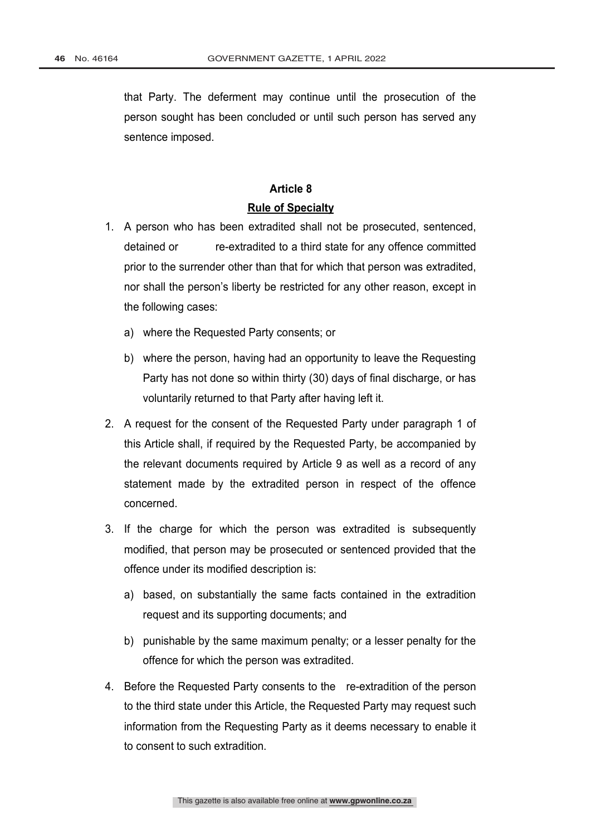that Party. The deferment may continue until the prosecution of the person sought has been concluded or until such person has served any sentence imposed.

#### **Article 8**

#### **Rule of Specialty**

- 1. A person who has been extradited shall not be prosecuted, sentenced, detained or re-extradited to a third state for any offence committed prior to the surrender other than that for which that person was extradited, nor shall the person's liberty be restricted for any other reason, except in the following cases:
	- a) where the Requested Party consents; or
	- b) where the person, having had an opportunity to leave the Requesting Party has not done so within thirty (30) days of final discharge, or has voluntarily returned to that Party after having left it.
- 2. A request for the consent of the Requested Party under paragraph 1 of this Article shall, if required by the Requested Party, be accompanied by the relevant documents required by Article 9 as well as a record of any statement made by the extradited person in respect of the offence concerned.
- 3. If the charge for which the person was extradited is subsequently modified, that person may be prosecuted or sentenced provided that the offence under its modified description is:
	- a) based, on substantially the same facts contained in the extradition request and its supporting documents; and
	- b) punishable by the same maximum penalty; or a lesser penalty for the offence for which the person was extradited.
- 4. Before the Requested Party consents to the re-extradition of the person to the third state under this Article, the Requested Party may request such information from the Requesting Party as it deems necessary to enable it to consent to such extradition.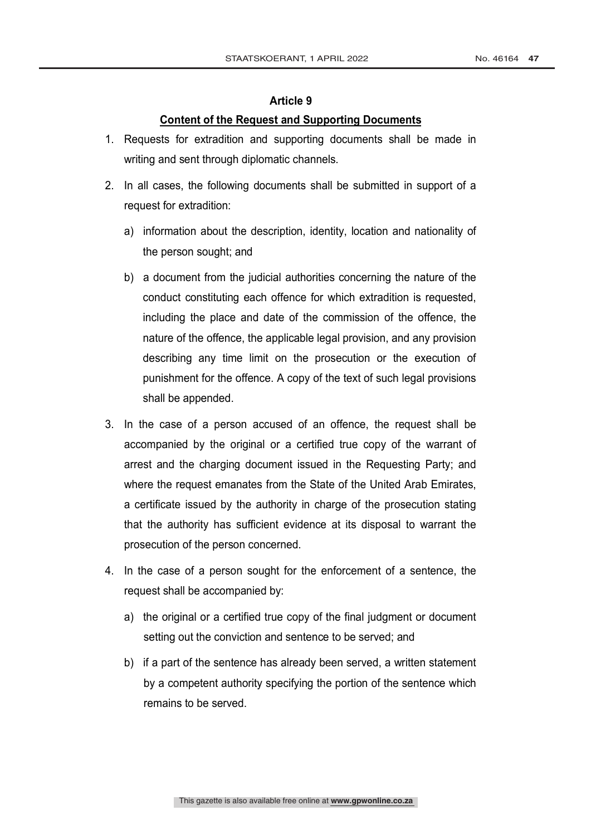#### **Content of the Request and Supporting Documents**

- 1. Requests for extradition and supporting documents shall be made in writing and sent through diplomatic channels.
- 2. In all cases, the following documents shall be submitted in support of a request for extradition:
	- a) information about the description, identity, location and nationality of the person sought; and
	- b) a document from the judicial authorities concerning the nature of the conduct constituting each offence for which extradition is requested, including the place and date of the commission of the offence, the nature of the offence, the applicable legal provision, and any provision describing any time limit on the prosecution or the execution of punishment for the offence. A copy of the text of such legal provisions shall be appended.
- 3. In the case of a person accused of an offence, the request shall be accompanied by the original or a certified true copy of the warrant of arrest and the charging document issued in the Requesting Party; and where the request emanates from the State of the United Arab Emirates, a certificate issued by the authority in charge of the prosecution stating that the authority has sufficient evidence at its disposal to warrant the prosecution of the person concerned.
- 4. In the case of a person sought for the enforcement of a sentence, the request shall be accompanied by:
	- a) the original or a certified true copy of the final judgment or document setting out the conviction and sentence to be served; and
	- b) if a part of the sentence has already been served, a written statement by a competent authority specifying the portion of the sentence which remains to be served.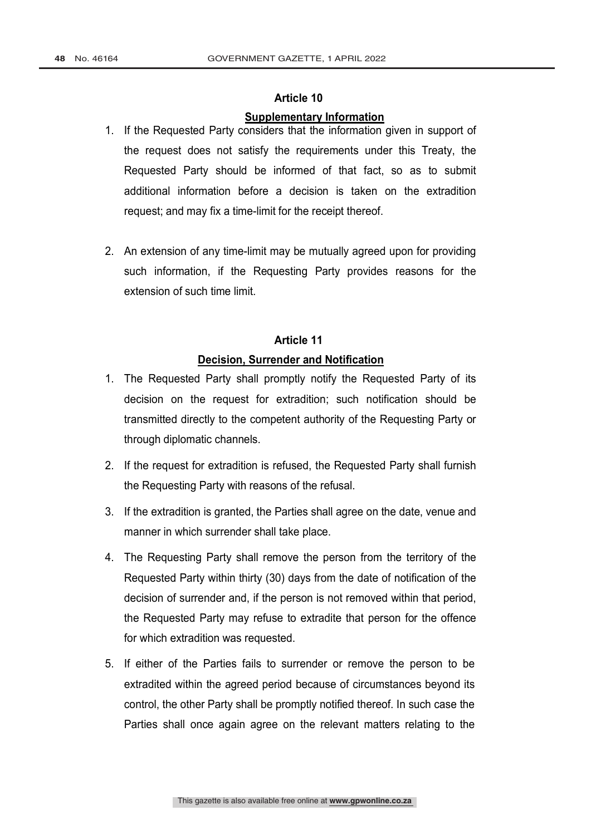#### **Supplementary Information**

- 1. If the Requested Party considers that the information given in support of the request does not satisfy the requirements under this Treaty, the Requested Party should be informed of that fact, so as to submit additional information before a decision is taken on the extradition request; and may fix a time-limit for the receipt thereof.
- 2. An extension of any time-limit may be mutually agreed upon for providing such information, if the Requesting Party provides reasons for the extension of such time limit.

### **Article 11**

#### **Decision, Surrender and Notification**

- 1. The Requested Party shall promptly notify the Requested Party of its decision on the request for extradition; such notification should be transmitted directly to the competent authority of the Requesting Party or through diplomatic channels.
- 2. If the request for extradition is refused, the Requested Party shall furnish the Requesting Party with reasons of the refusal.
- 3. If the extradition is granted, the Parties shall agree on the date, venue and manner in which surrender shall take place.
- 4. The Requesting Party shall remove the person from the territory of the Requested Party within thirty (30) days from the date of notification of the decision of surrender and, if the person is not removed within that period, the Requested Party may refuse to extradite that person for the offence for which extradition was requested.
- 5. If either of the Parties fails to surrender or remove the person to be extradited within the agreed period because of circumstances beyond its control, the other Party shall be promptly notified thereof. In such case the Parties shall once again agree on the relevant matters relating to the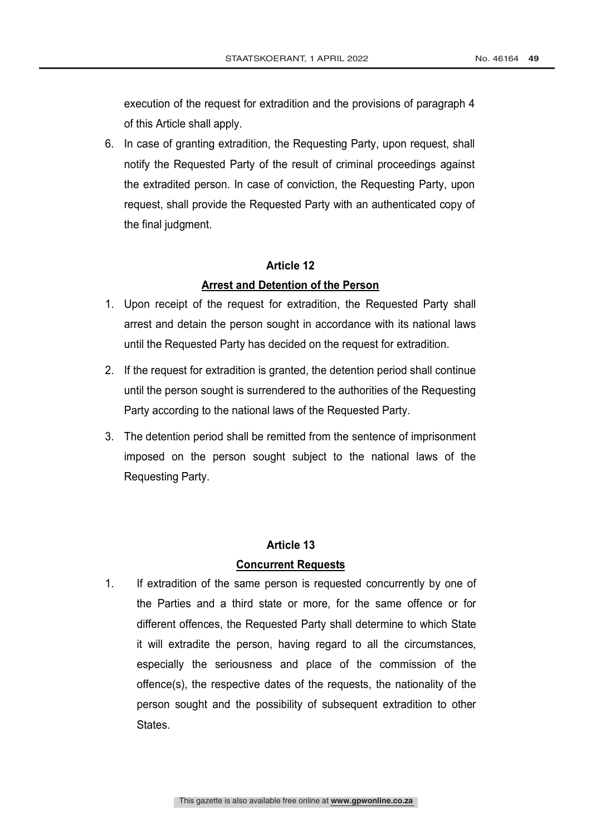execution of the request for extradition and the provisions of paragraph 4 of this Article shall apply.

6. In case of granting extradition, the Requesting Party, upon request, shall notify the Requested Party of the result of criminal proceedings against the extradited person. In case of conviction, the Requesting Party, upon request, shall provide the Requested Party with an authenticated copy of the final judgment.

#### **Article 12**

#### **Arrest and Detention of the Person**

- 1. Upon receipt of the request for extradition, the Requested Party shall arrest and detain the person sought in accordance with its national laws until the Requested Party has decided on the request for extradition.
- 2. If the request for extradition is granted, the detention period shall continue until the person sought is surrendered to the authorities of the Requesting Party according to the national laws of the Requested Party.
- 3. The detention period shall be remitted from the sentence of imprisonment imposed on the person sought subject to the national laws of the Requesting Party.

#### **Article 13**

#### **Concurrent Requests**

1. If extradition of the same person is requested concurrently by one of the Parties and a third state or more, for the same offence or for different offences, the Requested Party shall determine to which State it will extradite the person, having regard to all the circumstances, especially the seriousness and place of the commission of the offence(s), the respective dates of the requests, the nationality of the person sought and the possibility of subsequent extradition to other States.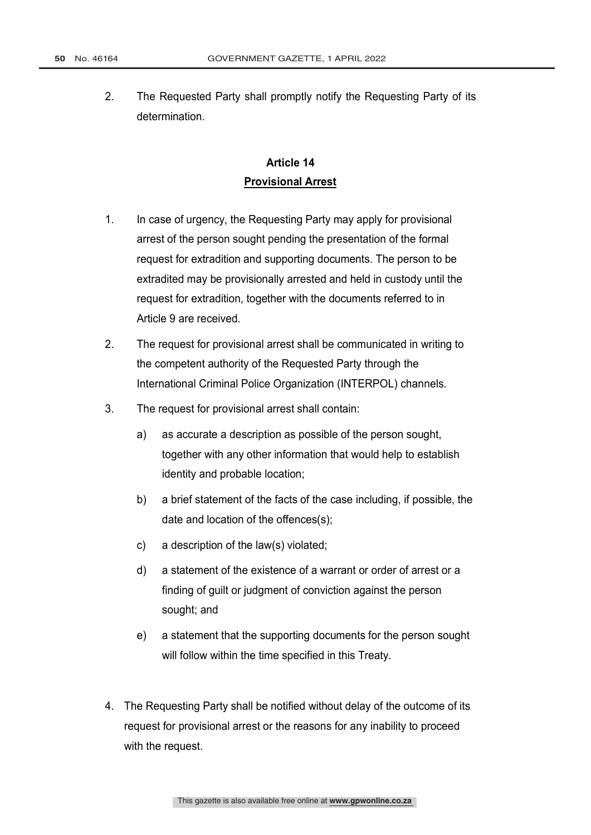2. The Requested Party shall promptly notify the Requesting Party of its determination.

## **Article 14 Provisional Arrest**

- 1. In case of urgency, the Requesting Party may apply for provisional arrest of the person sought pending the presentation of the formal request for extradition and supporting documents. The person to be extradited may be provisionally arrested and held in custody until the request for extradition, together with the documents referred to in Article 9 are received.
- 2. The request for provisional arrest shall be communicated in writing to the competent authority of the Requested Party through the International Criminal Police Organization (INTERPOL) channels.
- 3. The request for provisional arrest shall contain:
	- a) as accurate a description as possible of the person sought, together with any other information that would help to establish identity and probable location;
	- b) a brief statement of the facts of the case including, if possible, the date and location of the offences(s);
	- c) a description of the law(s) violated;
	- d) a statement of the existence of a warrant or order of arrest or a finding of guilt or judgment of conviction against the person sought; and
	- e) a statement that the supporting documents for the person sought will follow within the time specified in this Treaty.
- 4. The Requesting Party shall be notified without delay of the outcome of its request for provisional arrest or the reasons for any inability to proceed with the request.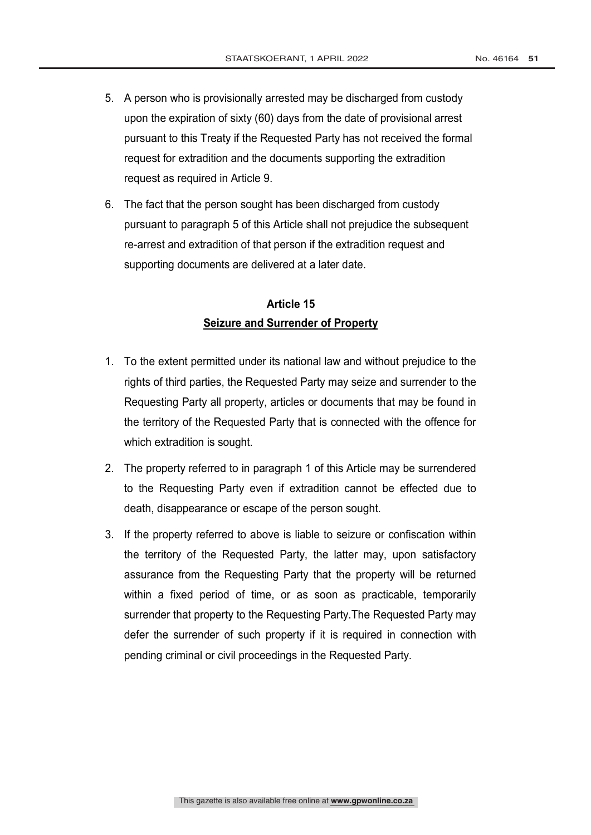- 5. A person who is provisionally arrested may be discharged from custody upon the expiration of sixty (60) days from the date of provisional arrest pursuant to this Treaty if the Requested Party has not received the formal request for extradition and the documents supporting the extradition request as required in Article 9.
- 6. The fact that the person sought has been discharged from custody pursuant to paragraph 5 of this Article shall not prejudice the subsequent re-arrest and extradition of that person if the extradition request and supporting documents are delivered at a later date.

### **Article 15 Seizure and Surrender of Property**

- 1. To the extent permitted under its national law and without prejudice to the rights of third parties, the Requested Party may seize and surrender to the Requesting Party all property, articles or documents that may be found in the territory of the Requested Party that is connected with the offence for which extradition is sought.
- 2. The property referred to in paragraph 1 of this Article may be surrendered to the Requesting Party even if extradition cannot be effected due to death, disappearance or escape of the person sought.
- 3. If the property referred to above is liable to seizure or confiscation within the territory of the Requested Party, the latter may, upon satisfactory assurance from the Requesting Party that the property will be returned within a fixed period of time, or as soon as practicable, temporarily surrender that property to the Requesting Party.The Requested Party may defer the surrender of such property if it is required in connection with pending criminal or civil proceedings in the Requested Party.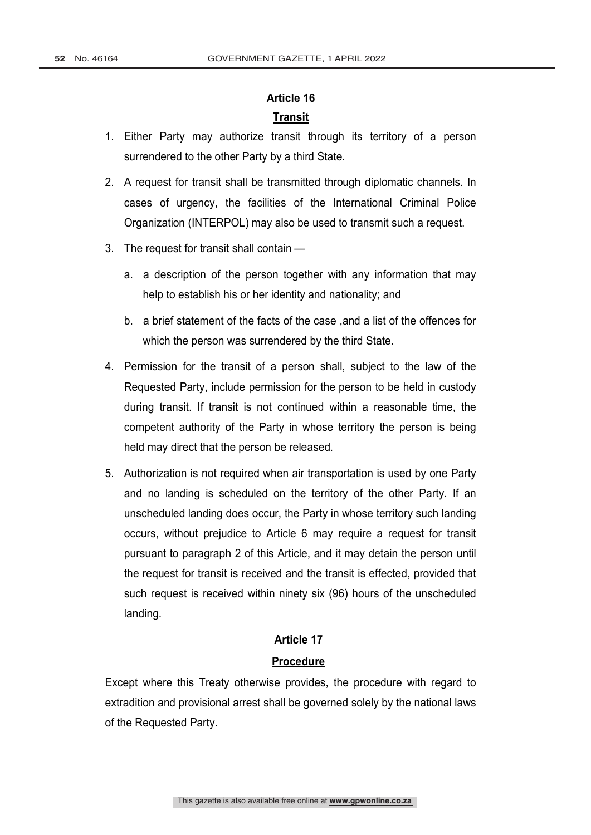### **Transit**

- 1. Either Party may authorize transit through its territory of a person surrendered to the other Party by a third State.
- 2. A request for transit shall be transmitted through diplomatic channels. In cases of urgency, the facilities of the International Criminal Police Organization (INTERPOL) may also be used to transmit such a request.
- 3. The request for transit shall contain
	- a. a description of the person together with any information that may help to establish his or her identity and nationality; and
	- b. a brief statement of the facts of the case , and a list of the offences for which the person was surrendered by the third State.
- 4. Permission for the transit of a person shall, subject to the law of the Requested Party, include permission for the person to be held in custody during transit. If transit is not continued within a reasonable time, the competent authority of the Party in whose territory the person is being held may direct that the person be released.
- 5. Authorization is not required when air transportation is used by one Party and no landing is scheduled on the territory of the other Party. If an unscheduled landing does occur, the Party in whose territory such landing occurs, without prejudice to Article 6 may require a request for transit pursuant to paragraph 2 of this Article, and it may detain the person until the request for transit is received and the transit is effected, provided that such request is received within ninety six (96) hours of the unscheduled landing.

#### **Article 17**

#### **Procedure**

Except where this Treaty otherwise provides, the procedure with regard to extradition and provisional arrest shall be governed solely by the national laws of the Requested Party.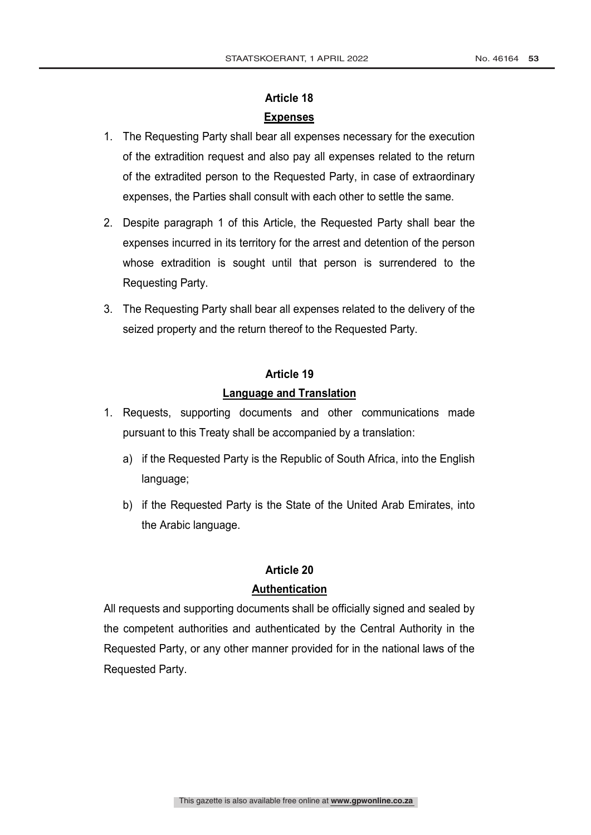### **Article 18 Expenses**

- 1. The Requesting Party shall bear all expenses necessary for the execution of the extradition request and also pay all expenses related to the return of the extradited person to the Requested Party, in case of extraordinary expenses, the Parties shall consult with each other to settle the same.
- 2. Despite paragraph 1 of this Article, the Requested Party shall bear the expenses incurred in its territory for the arrest and detention of the person whose extradition is sought until that person is surrendered to the Requesting Party.
- 3. The Requesting Party shall bear all expenses related to the delivery of the seized property and the return thereof to the Requested Party.

# **Article 19 Language and Translation**

- 1. Requests, supporting documents and other communications made pursuant to this Treaty shall be accompanied by a translation:
	- a) if the Requested Party is the Republic of South Africa, into the English language;
	- b) if the Requested Party is the State of the United Arab Emirates, into the Arabic language.

# **Article 20**

### **Authentication**

All requests and supporting documents shall be officially signed and sealed by the competent authorities and authenticated by the Central Authority in the Requested Party, or any other manner provided for in the national laws of the Requested Party.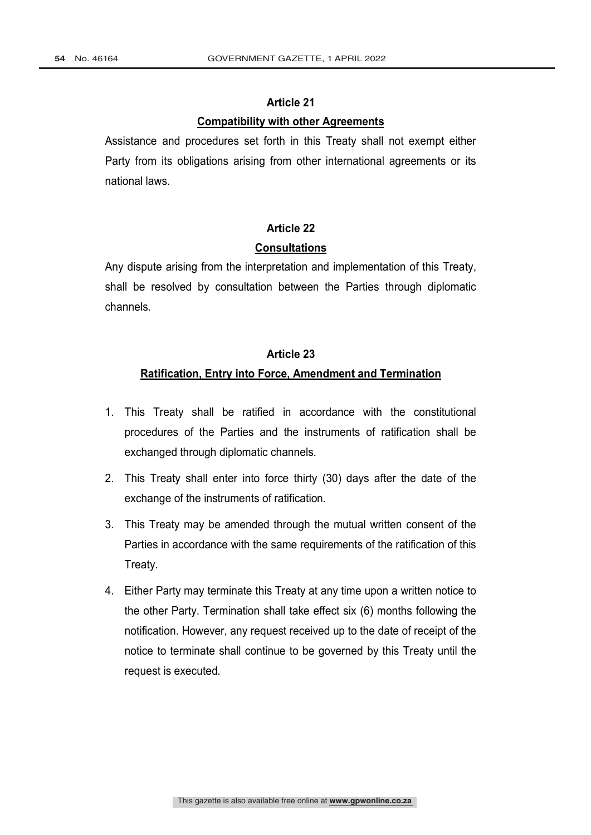#### **Compatibility with other Agreements**

Assistance and procedures set forth in this Treaty shall not exempt either Party from its obligations arising from other international agreements or its national laws.

# **Article 22 Consultations**

Any dispute arising from the interpretation and implementation of this Treaty, shall be resolved by consultation between the Parties through diplomatic channels.

### **Article 23**

### **Ratification, Entry into Force, Amendment and Termination**

- 1. This Treaty shall be ratified in accordance with the constitutional procedures of the Parties and the instruments of ratification shall be exchanged through diplomatic channels.
- 2. This Treaty shall enter into force thirty (30) days after the date of the exchange of the instruments of ratification.
- 3. This Treaty may be amended through the mutual written consent of the Parties in accordance with the same requirements of the ratification of this Treaty.
- 4. Either Party may terminate this Treaty at any time upon a written notice to the other Party. Termination shall take effect six (6) months following the notification. However, any request received up to the date of receipt of the notice to terminate shall continue to be governed by this Treaty until the request is executed.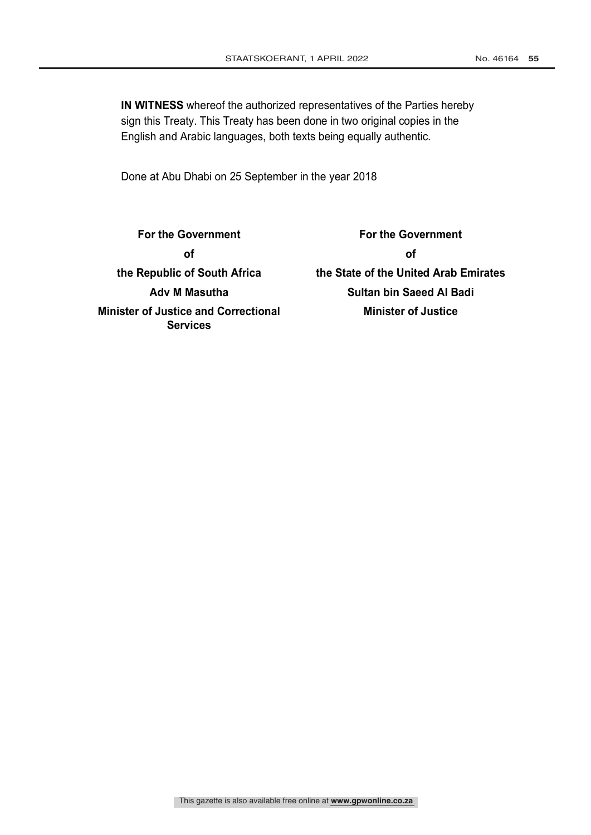**IN WITNESS** whereof the authorized representatives of the Parties hereby sign this Treaty. This Treaty has been done in two original copies in the English and Arabic languages, both texts being equally authentic.

Done at Abu Dhabi on 25 September in the year 2018

**For the Government of the Republic of South Africa Adv M Masutha Minister of Justice and Correctional Services**

**For the Government of the State of the United Arab Emirates Sultan bin Saeed Al Badi Minister of Justice**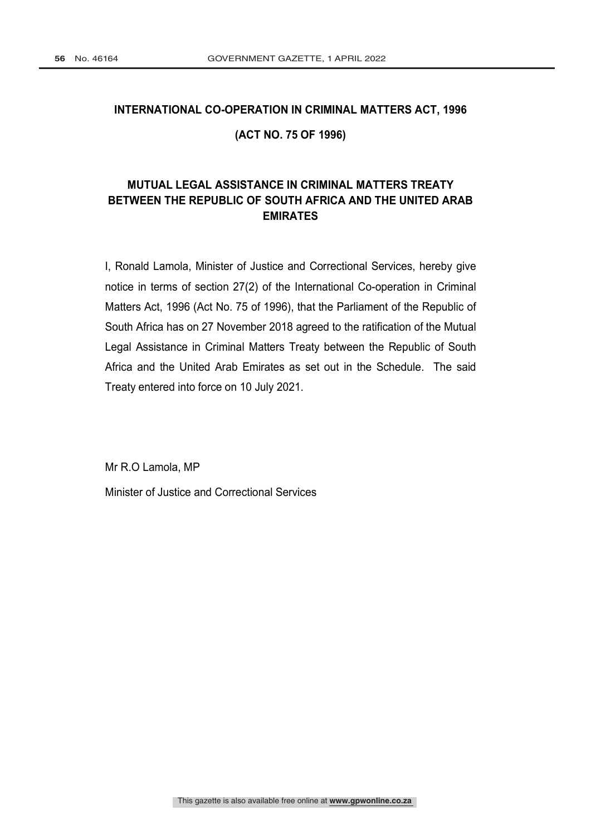# **INTERNATIONAL CO-OPERATION IN CRIMINAL MATTERS ACT, 1996 (ACT NO. 75 OF 1996)**

### **MUTUAL LEGAL ASSISTANCE IN CRIMINAL MATTERS TREATY BETWEEN THE REPUBLIC OF SOUTH AFRICA AND THE UNITED ARAB EMIRATES**

I, Ronald Lamola, Minister of Justice and Correctional Services, hereby give notice in terms of section 27(2) of the International Co-operation in Criminal Matters Act, 1996 (Act No. 75 of 1996), that the Parliament of the Republic of South Africa has on 27 November 2018 agreed to the ratification of the Mutual Legal Assistance in Criminal Matters Treaty between the Republic of South Africa and the United Arab Emirates as set out in the Schedule. The said Treaty entered into force on 10 July 2021.

Mr R.O Lamola, MP Minister of Justice and Correctional Services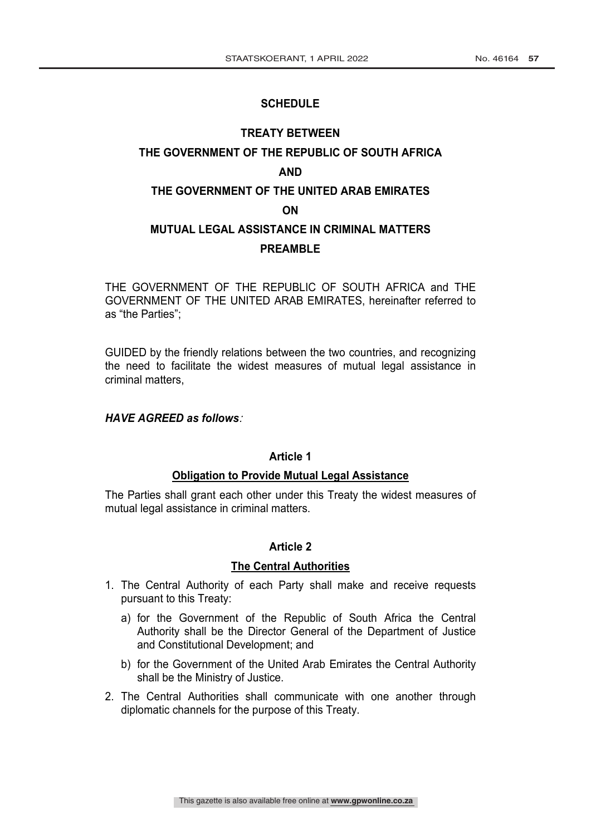#### **SCHEDULE**

# **TREATY BETWEEN THE GOVERNMENT OF THE REPUBLIC OF SOUTH AFRICA AND THE GOVERNMENT OF THE UNITED ARAB EMIRATES** 1 **ON MUTUAL LEGAL ASSISTANCE IN CRIMINAL MATTERS PREAMBLE**

THE GOVERNMENT OF THE REPUBLIC OF SOUTH AFRICA and THE GOVERNMENT OF THE UNITED ARAB EMIRATES, hereinafter referred to as "the Parties";

GUIDED by the friendly relations between the two countries, and recognizing the need to facilitate the widest measures of mutual legal assistance in criminal matters,

#### *HAVE AGREED as follows*:

#### **Article 1**

#### **Obligation to Provide Mutual Legal Assistance**

The Parties shall grant each other under this Treaty the widest measures of mutual legal assistance in criminal matters.

#### **Article 2**

#### **The Central Authorities**

- 1. The Central Authority of each Party shall make and receive requests pursuant to this Treaty:
	- a) for the Government of the Republic of South Africa the Central Authority shall be the Director General of the Department of Justice and Constitutional Development; and
	- b) for the Government of the United Arab Emirates the Central Authority shall be the Ministry of Justice.
- 2. The Central Authorities shall communicate with one another through diplomatic channels for the purpose of this Treaty.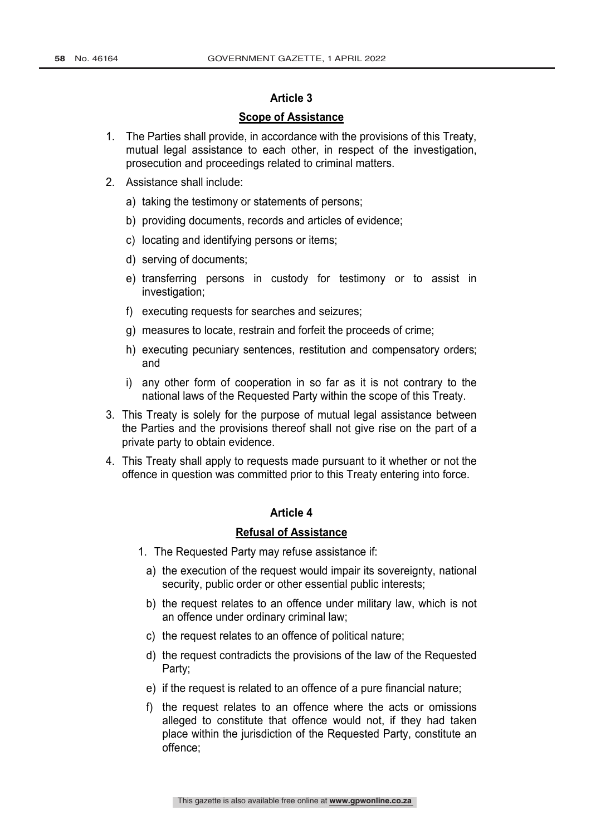#### **Scope of Assistance**

- 1. The Parties shall provide, in accordance with the provisions of this Treaty, mutual legal assistance to each other, in respect of the investigation, prosecution and proceedings related to criminal matters.
- 2. Assistance shall include:
	- a) taking the testimony or statements of persons;
	- b) providing documents, records and articles of evidence;
	- c) locating and identifying persons or items;
	- d) serving of documents;
	- e) transferring persons in custody for testimony or to assist in investigation;
	- f) executing requests for searches and seizures;
	- g) measures to locate, restrain and forfeit the proceeds of crime;
	- h) executing pecuniary sentences, restitution and compensatory orders; and
	- i) any other form of cooperation in so far as it is not contrary to the national laws of the Requested Party within the scope of this Treaty.
- 3. This Treaty is solely for the purpose of mutual legal assistance between the Parties and the provisions thereof shall not give rise on the part of a private party to obtain evidence.
- 4. This Treaty shall apply to requests made pursuant to it whether or not the offence in question was committed prior to this Treaty entering into force.

#### **Article 4**

#### **Refusal of Assistance**

- 1. The Requested Party may refuse assistance if:
	- a) the execution of the request would impair its sovereignty, national security, public order or other essential public interests;
	- b) the request relates to an offence under military law, which is not an offence under ordinary criminal law;
	- c) the request relates to an offence of political nature;
	- d) the request contradicts the provisions of the law of the Requested Party;
	- e) if the request is related to an offence of a pure financial nature;
	- f) the request relates to an offence where the acts or omissions alleged to constitute that offence would not, if they had taken place within the jurisdiction of the Requested Party, constitute an offence;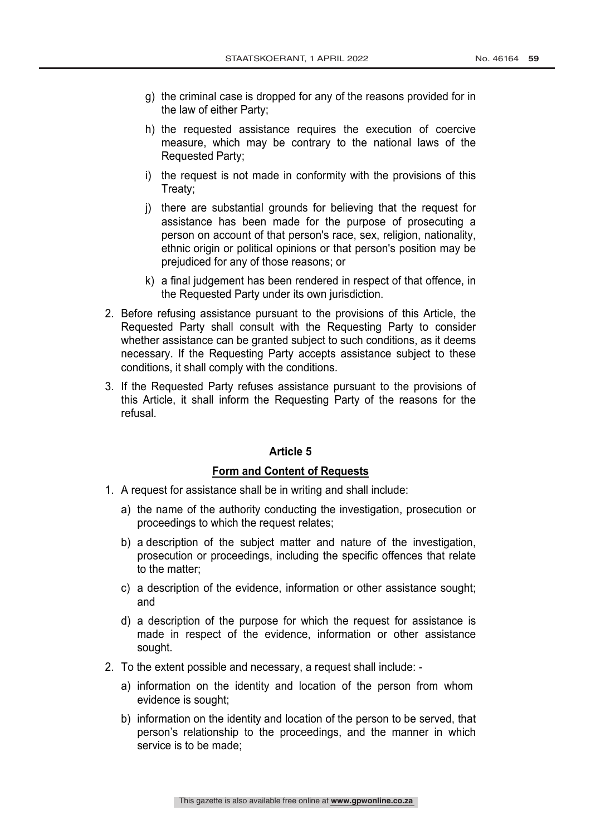- g) the criminal case is dropped for any of the reasons provided for in the law of either Party;
- h) the requested assistance requires the execution of coercive measure, which may be contrary to the national laws of the Requested Party;
- i) the request is not made in conformity with the provisions of this Treaty;
- j) there are substantial grounds for believing that the request for assistance has been made for the purpose of prosecuting a person on account of that person's race, sex, religion, nationality, ethnic origin or political opinions or that person's position may be prejudiced for any of those reasons; or
- k) a final judgement has been rendered in respect of that offence, in the Requested Party under its own jurisdiction.
- 2. Before refusing assistance pursuant to the provisions of this Article, the Requested Party shall consult with the Requesting Party to consider whether assistance can be granted subject to such conditions, as it deems necessary. If the Requesting Party accepts assistance subject to these conditions, it shall comply with the conditions.
- 3. If the Requested Party refuses assistance pursuant to the provisions of this Article, it shall inform the Requesting Party of the reasons for the refusal.

### **Form and Content of Requests**

- 1. A request for assistance shall be in writing and shall include:
	- a) the name of the authority conducting the investigation, prosecution or proceedings to which the request relates;
	- b) a description of the subject matter and nature of the investigation, prosecution or proceedings, including the specific offences that relate to the matter;
	- c) a description of the evidence, information or other assistance sought; and
	- d) a description of the purpose for which the request for assistance is made in respect of the evidence, information or other assistance sought.
- 2. To the extent possible and necessary, a request shall include:
	- a) information on the identity and location of the person from whom evidence is sought;
	- b) information on the identity and location of the person to be served, that person's relationship to the proceedings, and the manner in which service is to be made;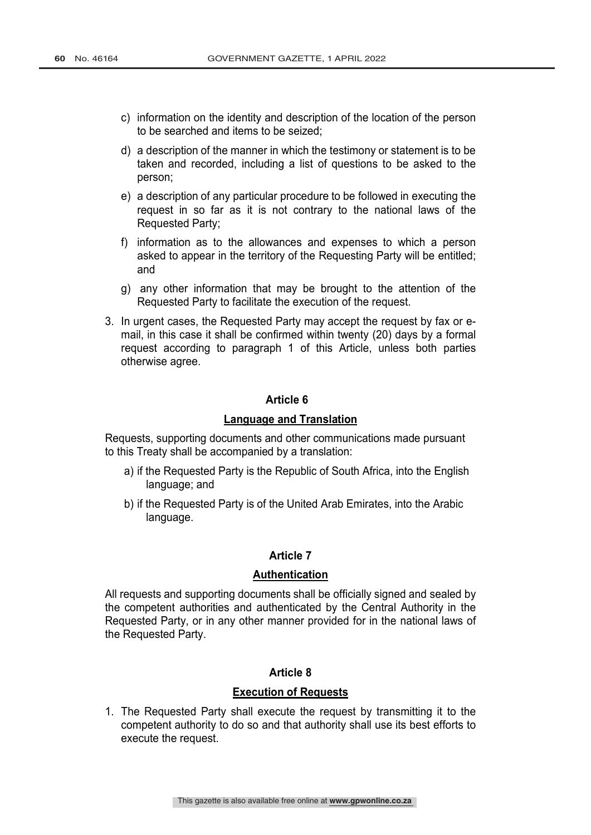- c) information on the identity and description of the location of the person to be searched and items to be seized;
- d) a description of the manner in which the testimony or statement is to be taken and recorded, including a list of questions to be asked to the person;
- e) a description of any particular procedure to be followed in executing the request in so far as it is not contrary to the national laws of the Requested Party;
- f) information as to the allowances and expenses to which a person asked to appear in the territory of the Requesting Party will be entitled; and
- g) any other information that may be brought to the attention of the Requested Party to facilitate the execution of the request.
- 3. In urgent cases, the Requested Party may accept the request by fax or email, in this case it shall be confirmed within twenty (20) days by a formal request according to paragraph 1 of this Article, unless both parties otherwise agree.

#### **Language and Translation**

Requests, supporting documents and other communications made pursuant to this Treaty shall be accompanied by a translation:

- a) if the Requested Party is the Republic of South Africa, into the English language; and
- b) if the Requested Party is of the United Arab Emirates, into the Arabic language.

#### **Article 7**

#### **Authentication**

All requests and supporting documents shall be officially signed and sealed by the competent authorities and authenticated by the Central Authority in the Requested Party, or in any other manner provided for in the national laws of the Requested Party.

### **Article 8**

#### **Execution of Requests**

1. The Requested Party shall execute the request by transmitting it to the competent authority to do so and that authority shall use its best efforts to execute the request.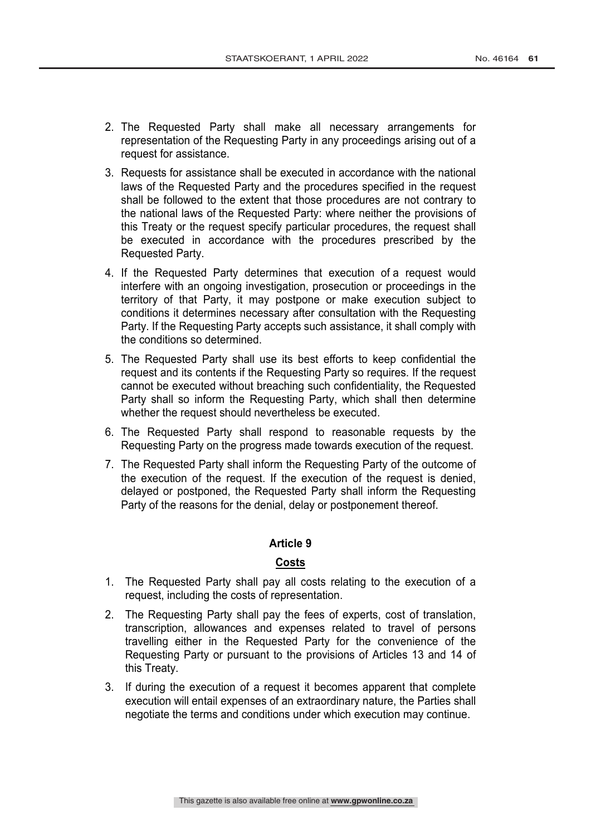- 2. The Requested Party shall make all necessary arrangements for representation of the Requesting Party in any proceedings arising out of a request for assistance.
- 3. Requests for assistance shall be executed in accordance with the national laws of the Requested Party and the procedures specified in the request shall be followed to the extent that those procedures are not contrary to the national laws of the Requested Party: where neither the provisions of this Treaty or the request specify particular procedures, the request shall be executed in accordance with the procedures prescribed by the Requested Party.
- 4. If the Requested Party determines that execution of a request would interfere with an ongoing investigation, prosecution or proceedings in the territory of that Party, it may postpone or make execution subject to conditions it determines necessary after consultation with the Requesting Party. If the Requesting Party accepts such assistance, it shall comply with the conditions so determined.
- 5. The Requested Party shall use its best efforts to keep confidential the request and its contents if the Requesting Party so requires. If the request cannot be executed without breaching such confidentiality, the Requested Party shall so inform the Requesting Party, which shall then determine whether the request should nevertheless be executed.
- 6. The Requested Party shall respond to reasonable requests by the Requesting Party on the progress made towards execution of the request.
- 7. The Requested Party shall inform the Requesting Party of the outcome of the execution of the request. If the execution of the request is denied, delayed or postponed, the Requested Party shall inform the Requesting Party of the reasons for the denial, delay or postponement thereof.

### **Costs**

- 1. The Requested Party shall pay all costs relating to the execution of a request, including the costs of representation.
- 2. The Requesting Party shall pay the fees of experts, cost of translation, transcription, allowances and expenses related to travel of persons travelling either in the Requested Party for the convenience of the Requesting Party or pursuant to the provisions of Articles 13 and 14 of this Treaty.
- 3. If during the execution of a request it becomes apparent that complete execution will entail expenses of an extraordinary nature, the Parties shall negotiate the terms and conditions under which execution may continue.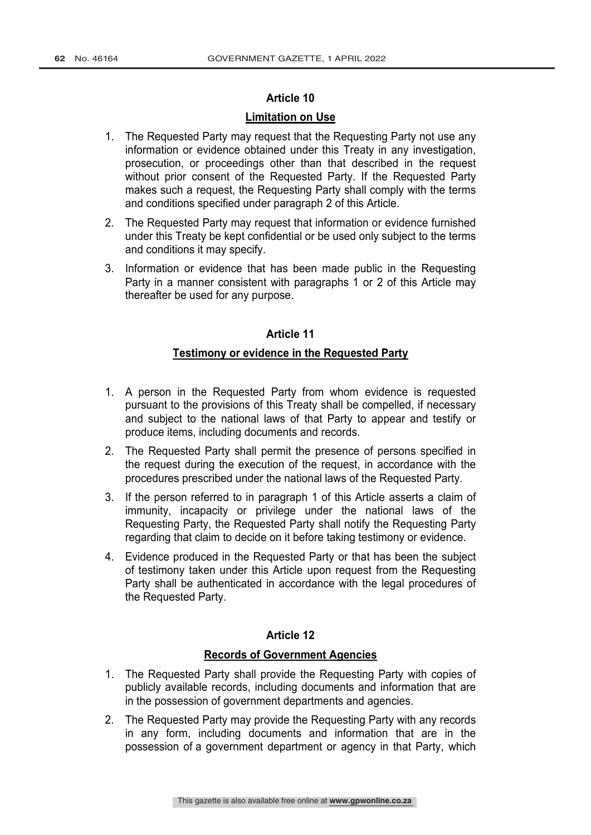#### **Limitation on Use**

- 1. The Requested Party may request that the Requesting Party not use any information or evidence obtained under this Treaty in any investigation, prosecution, or proceedings other than that described in the request without prior consent of the Requested Party. If the Requested Party makes such a request, the Requesting Party shall comply with the terms and conditions specified under paragraph 2 of this Article.
- 2. The Requested Party may request that information or evidence furnished under this Treaty be kept confidential or be used only subject to the terms and conditions it may specify.
- 3. Information or evidence that has been made public in the Requesting Party in a manner consistent with paragraphs 1 or 2 of this Article may thereafter be used for any purpose.

#### **Article 11**

#### **Testimony or evidence in the Requested Party**

- 1. A person in the Requested Party from whom evidence is requested pursuant to the provisions of this Treaty shall be compelled, if necessary and subject to the national laws of that Party to appear and testify or produce items, including documents and records.
- 2. The Requested Party shall permit the presence of persons specified in the request during the execution of the request, in accordance with the procedures prescribed under the national laws of the Requested Party.
- 3. If the person referred to in paragraph 1 of this Article asserts a claim of immunity, incapacity or privilege under the national laws of the Requesting Party, the Requested Party shall notify the Requesting Party regarding that claim to decide on it before taking testimony or evidence.
- 4. Evidence produced in the Requested Party or that has been the subject of testimony taken under this Article upon request from the Requesting Party shall be authenticated in accordance with the legal procedures of the Requested Party.

### **Article 12**

#### **Records of Government Agencies**

- 1. The Requested Party shall provide the Requesting Party with copies of publicly available records, including documents and information that are in the possession of government departments and agencies.
- 2. The Requested Party may provide the Requesting Party with any records in any form, including documents and information that are in the possession of a government department or agency in that Party, which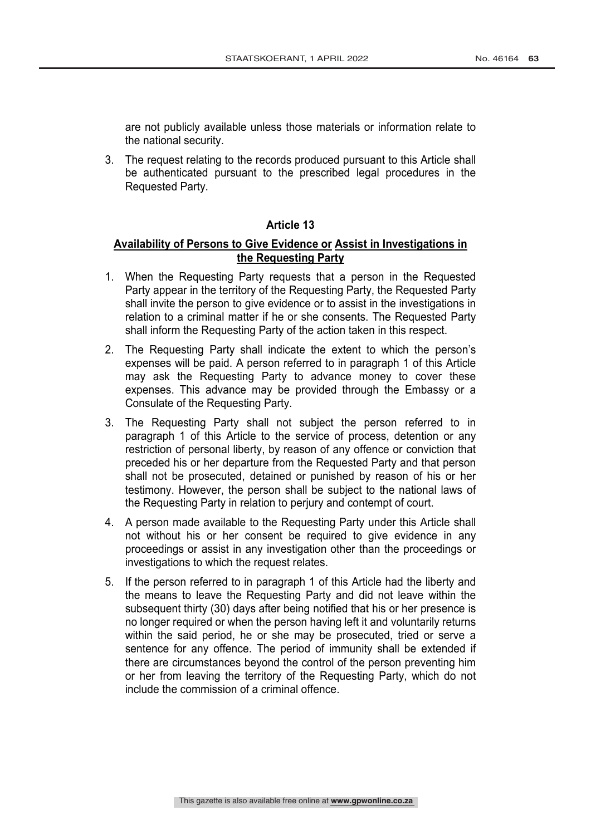are not publicly available unless those materials or information relate to the national security.

3. The request relating to the records produced pursuant to this Article shall be authenticated pursuant to the prescribed legal procedures in the Requested Party.

#### **Article 13**

#### **Availability of Persons to Give Evidence or Assist in Investigations in the Requesting Party**

- 1. When the Requesting Party requests that a person in the Requested Party appear in the territory of the Requesting Party, the Requested Party shall invite the person to give evidence or to assist in the investigations in relation to a criminal matter if he or she consents. The Requested Party shall inform the Requesting Party of the action taken in this respect.
- 2. The Requesting Party shall indicate the extent to which the person's expenses will be paid. A person referred to in paragraph 1 of this Article may ask the Requesting Party to advance money to cover these expenses. This advance may be provided through the Embassy or a Consulate of the Requesting Party.
- 3. The Requesting Party shall not subject the person referred to in paragraph 1 of this Article to the service of process, detention or any restriction of personal liberty, by reason of any offence or conviction that preceded his or her departure from the Requested Party and that person shall not be prosecuted, detained or punished by reason of his or her testimony. However, the person shall be subject to the national laws of the Requesting Party in relation to perjury and contempt of court.
- 4. A person made available to the Requesting Party under this Article shall not without his or her consent be required to give evidence in any proceedings or assist in any investigation other than the proceedings or investigations to which the request relates.
- 5. If the person referred to in paragraph 1 of this Article had the liberty and the means to leave the Requesting Party and did not leave within the subsequent thirty (30) days after being notified that his or her presence is no longer required or when the person having left it and voluntarily returns within the said period, he or she may be prosecuted, tried or serve a sentence for any offence. The period of immunity shall be extended if there are circumstances beyond the control of the person preventing him or her from leaving the territory of the Requesting Party, which do not include the commission of a criminal offence.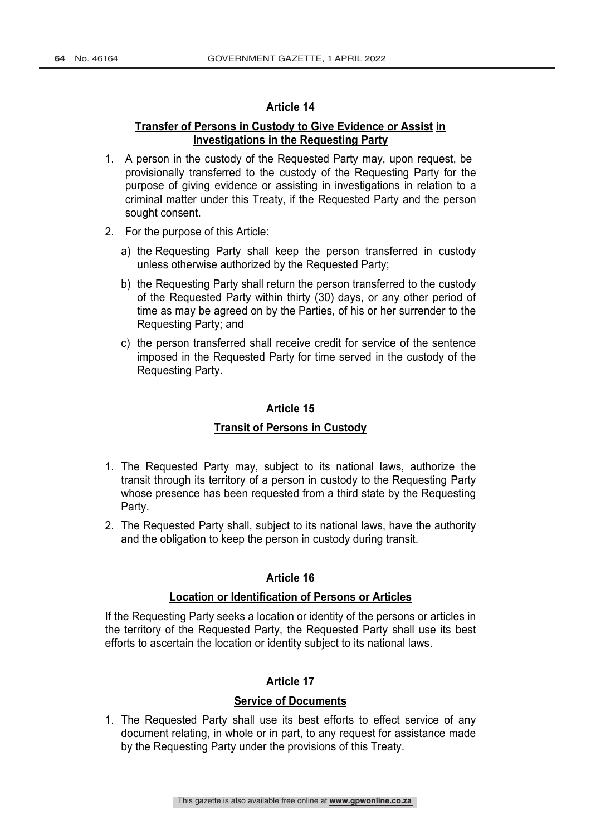### **Transfer of Persons in Custody to Give Evidence or Assist in Investigations in the Requesting Party**

- 1. A person in the custody of the Requested Party may, upon request, be provisionally transferred to the custody of the Requesting Party for the purpose of giving evidence or assisting in investigations in relation to a criminal matter under this Treaty, if the Requested Party and the person sought consent.
- 2. For the purpose of this Article:
	- a) the Requesting Party shall keep the person transferred in custody unless otherwise authorized by the Requested Party;
	- b) the Requesting Party shall return the person transferred to the custody of the Requested Party within thirty (30) days, or any other period of time as may be agreed on by the Parties, of his or her surrender to the Requesting Party; and
	- c) the person transferred shall receive credit for service of the sentence imposed in the Requested Party for time served in the custody of the Requesting Party.

#### **Article 15**

#### **Transit of Persons in Custody**

- 1. The Requested Party may, subject to its national laws, authorize the transit through its territory of a person in custody to the Requesting Party whose presence has been requested from a third state by the Requesting Party.
- 2. The Requested Party shall, subject to its national laws, have the authority and the obligation to keep the person in custody during transit.

#### **Article 16**

#### **Location or Identification of Persons or Articles**

If the Requesting Party seeks a location or identity of the persons or articles in the territory of the Requested Party, the Requested Party shall use its best efforts to ascertain the location or identity subject to its national laws.

#### **Article 17**

#### **Service of Documents**

1. The Requested Party shall use its best efforts to effect service of any document relating, in whole or in part, to any request for assistance made by the Requesting Party under the provisions of this Treaty.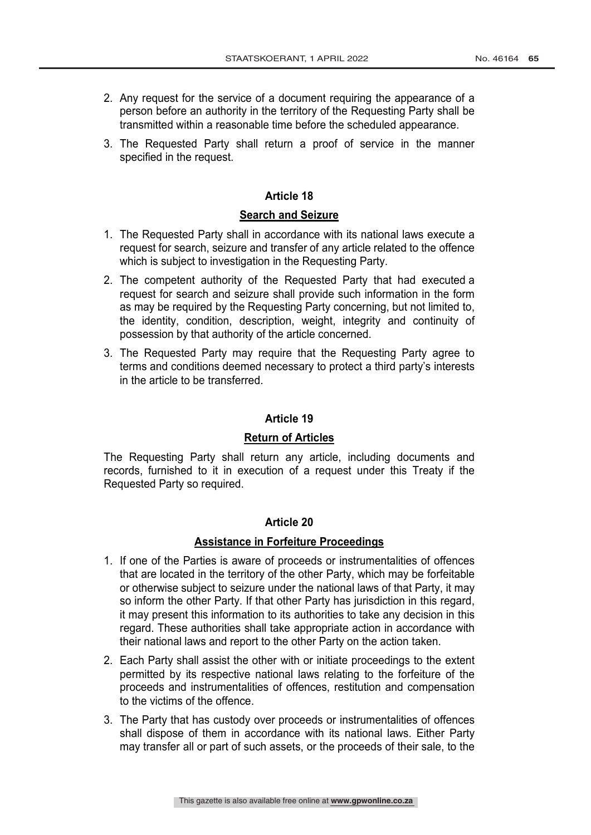- 2. Any request for the service of a document requiring the appearance of a person before an authority in the territory of the Requesting Party shall be transmitted within a reasonable time before the scheduled appearance.
- 3. The Requested Party shall return a proof of service in the manner specified in the request.

### **Search and Seizure**

- 1. The Requested Party shall in accordance with its national laws execute a request for search, seizure and transfer of any article related to the offence which is subject to investigation in the Requesting Party.
- 2. The competent authority of the Requested Party that had executed a request for search and seizure shall provide such information in the form as may be required by the Requesting Party concerning, but not limited to, the identity, condition, description, weight, integrity and continuity of possession by that authority of the article concerned.
- 3. The Requested Party may require that the Requesting Party agree to terms and conditions deemed necessary to protect a third party's interests in the article to be transferred.

#### **Article 19**

#### **Return of Articles**

The Requesting Party shall return any article, including documents and records, furnished to it in execution of a request under this Treaty if the Requested Party so required.

#### **Article 20**

#### **Assistance in Forfeiture Proceedings**

- 1. If one of the Parties is aware of proceeds or instrumentalities of offences that are located in the territory of the other Party, which may be forfeitable or otherwise subject to seizure under the national laws of that Party, it may so inform the other Party. If that other Party has jurisdiction in this regard, it may present this information to its authorities to take any decision in this regard. These authorities shall take appropriate action in accordance with their national laws and report to the other Party on the action taken.
- 2. Each Party shall assist the other with or initiate proceedings to the extent permitted by its respective national laws relating to the forfeiture of the proceeds and instrumentalities of offences, restitution and compensation to the victims of the offence.
- 3. The Party that has custody over proceeds or instrumentalities of offences shall dispose of them in accordance with its national laws. Either Party may transfer all or part of such assets, or the proceeds of their sale, to the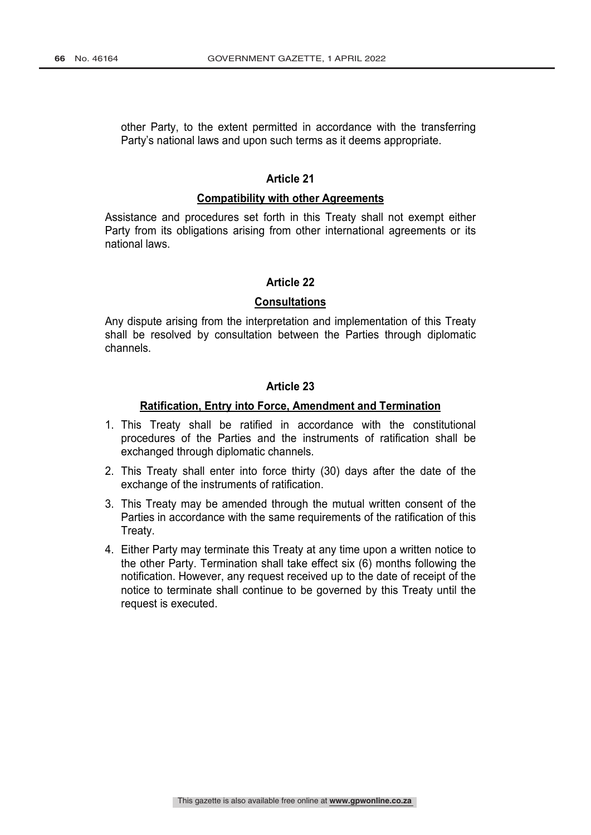other Party, to the extent permitted in accordance with the transferring Party's national laws and upon such terms as it deems appropriate.

#### **Article 21**

#### **Compatibility with other Agreements**

Assistance and procedures set forth in this Treaty shall not exempt either Party from its obligations arising from other international agreements or its national laws.

### **Article 22**

#### **Consultations**

Any dispute arising from the interpretation and implementation of this Treaty shall be resolved by consultation between the Parties through diplomatic channels.

#### **Article 23**

#### **Ratification, Entry into Force, Amendment and Termination**

- 1. This Treaty shall be ratified in accordance with the constitutional procedures of the Parties and the instruments of ratification shall be exchanged through diplomatic channels.
- 2. This Treaty shall enter into force thirty (30) days after the date of the exchange of the instruments of ratification.
- 3. This Treaty may be amended through the mutual written consent of the Parties in accordance with the same requirements of the ratification of this Treaty.
- 4. Either Party may terminate this Treaty at any time upon a written notice to the other Party. Termination shall take effect six (6) months following the notification. However, any request received up to the date of receipt of the notice to terminate shall continue to be governed by this Treaty until the request is executed.